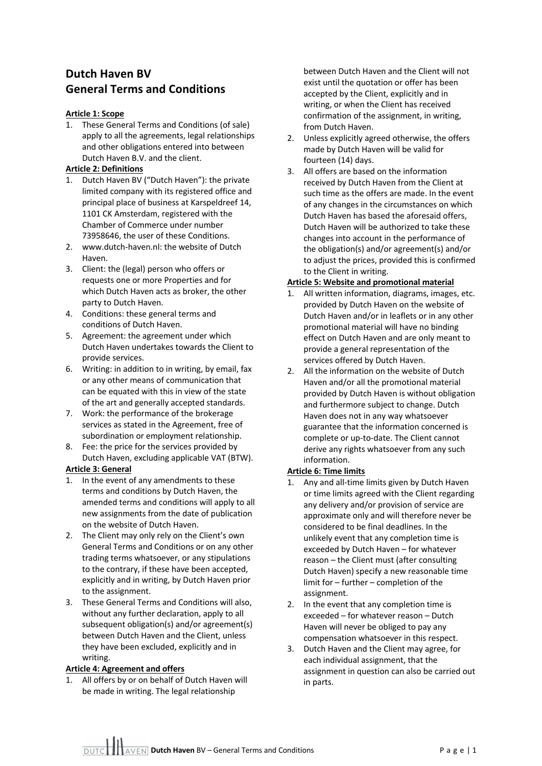# **Dutch Haven BV General Terms and Conditions**

# **Article 1: Scope**

1. These General Terms and Conditions (of sale) apply to all the agreements, legal relationships and other obligations entered into between Dutch Haven B.V. and the client.

# **Article 2: Definitions**

- 1. Dutch Haven BV ("Dutch Haven"): the private limited company with its registered office and principal place of business at Karspeldreef 14, 1101 CK Amsterdam, registered with the Chamber of Commerce under number 73958646, the user of these Conditions.
- 2. www.dutch-haven.nl: the website of Dutch Haven.
- 3. Client: the (legal) person who offers or requests one or more Properties and for which Dutch Haven acts as broker, the other party to Dutch Haven.
- 4. Conditions: these general terms and conditions of Dutch Haven.
- 5. Agreement: the agreement under which Dutch Haven undertakes towards the Client to provide services.
- 6. Writing: in addition to in writing, by email, fax or any other means of communication that can be equated with this in view of the state of the art and generally accepted standards.
- 7. Work: the performance of the brokerage services as stated in the Agreement, free of subordination or employment relationship.
- 8. Fee: the price for the services provided by Dutch Haven, excluding applicable VAT (BTW).

#### **Article 3: General**

- 1. In the event of any amendments to these terms and conditions by Dutch Haven, the amended terms and conditions will apply to all new assignments from the date of publication on the website of Dutch Haven.
- 2. The Client may only rely on the Client's own General Terms and Conditions or on any other trading terms whatsoever, or any stipulations to the contrary, if these have been accepted, explicitly and in writing, by Dutch Haven prior to the assignment.
- 3. These General Terms and Conditions will also, without any further declaration, apply to all subsequent obligation(s) and/or agreement(s) between Dutch Haven and the Client, unless they have been excluded, explicitly and in writing.

#### **Article 4: Agreement and offers**

1. All offers by or on behalf of Dutch Haven will be made in writing. The legal relationship

between Dutch Haven and the Client will not exist until the quotation or offer has been accepted by the Client, explicitly and in writing, or when the Client has received confirmation of the assignment, in writing, from Dutch Haven.

- 2. Unless explicitly agreed otherwise, the offers made by Dutch Haven will be valid for fourteen (14) days.
- 3. All offers are based on the information received by Dutch Haven from the Client at such time as the offers are made. In the event of any changes in the circumstances on which Dutch Haven has based the aforesaid offers, Dutch Haven will be authorized to take these changes into account in the performance of the obligation(s) and/or agreement(s) and/or to adjust the prices, provided this is confirmed to the Client in writing.

# **Article 5: Website and promotional material**

- 1. All written information, diagrams, images, etc. provided by Dutch Haven on the website of Dutch Haven and/or in leaflets or in any other promotional material will have no binding effect on Dutch Haven and are only meant to provide a general representation of the services offered by Dutch Haven.
- 2. All the information on the website of Dutch Haven and/or all the promotional material provided by Dutch Haven is without obligation and furthermore subject to change. Dutch Haven does not in any way whatsoever guarantee that the information concerned is complete or up-to-date. The Client cannot derive any rights whatsoever from any such information.

# **Article 6: Time limits**

- 1. Any and all-time limits given by Dutch Haven or time limits agreed with the Client regarding any delivery and/or provision of service are approximate only and will therefore never be considered to be final deadlines. In the unlikely event that any completion time is exceeded by Dutch Haven – for whatever reason – the Client must (after consulting Dutch Haven) specify a new reasonable time limit for – further – completion of the assignment.
- 2. In the event that any completion time is exceeded – for whatever reason – Dutch Haven will never be obliged to pay any compensation whatsoever in this respect.
- 3. Dutch Haven and the Client may agree, for each individual assignment, that the assignment in question can also be carried out in parts.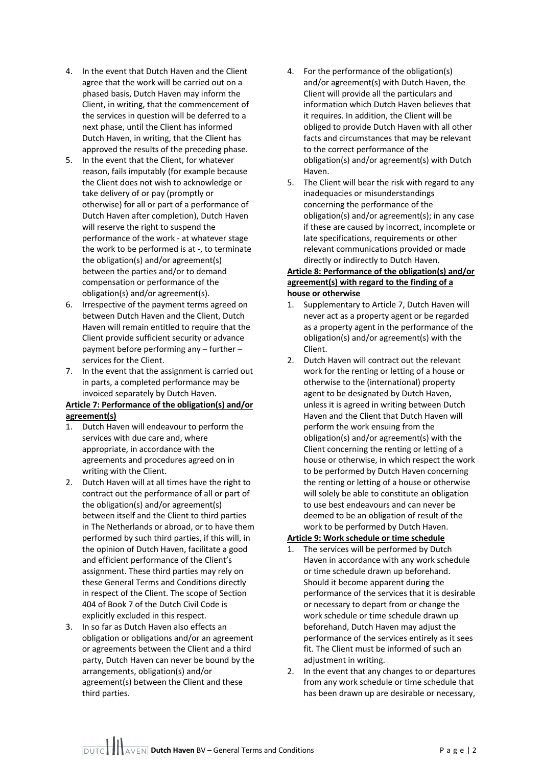- 4. In the event that Dutch Haven and the Client agree that the work will be carried out on a phased basis, Dutch Haven may inform the Client, in writing, that the commencement of the services in question will be deferred to a next phase, until the Client has informed Dutch Haven, in writing, that the Client has approved the results of the preceding phase.
- 5. In the event that the Client, for whatever reason, fails imputably (for example because the Client does not wish to acknowledge or take delivery of or pay (promptly or otherwise) for all or part of a performance of Dutch Haven after completion), Dutch Haven will reserve the right to suspend the performance of the work - at whatever stage the work to be performed is at -, to terminate the obligation(s) and/or agreement(s) between the parties and/or to demand compensation or performance of the obligation(s) and/or agreement(s).
- 6. Irrespective of the payment terms agreed on between Dutch Haven and the Client, Dutch Haven will remain entitled to require that the Client provide sufficient security or advance payment before performing any – further – services for the Client.
- 7. In the event that the assignment is carried out in parts, a completed performance may be invoiced separately by Dutch Haven.

# **Article 7: Performance of the obligation(s) and/or agreement(s)**

- 1. Dutch Haven will endeavour to perform the services with due care and, where appropriate, in accordance with the agreements and procedures agreed on in writing with the Client.
- 2. Dutch Haven will at all times have the right to contract out the performance of all or part of the obligation(s) and/or agreement(s) between itself and the Client to third parties in The Netherlands or abroad, or to have them performed by such third parties, if this will, in the opinion of Dutch Haven, facilitate a good and efficient performance of the Client's assignment. These third parties may rely on these General Terms and Conditions directly in respect of the Client. The scope of Section 404 of Book 7 of the Dutch Civil Code is explicitly excluded in this respect.
- 3. In so far as Dutch Haven also effects an obligation or obligations and/or an agreement or agreements between the Client and a third party, Dutch Haven can never be bound by the arrangements, obligation(s) and/or agreement(s) between the Client and these third parties.
- 4. For the performance of the obligation(s) and/or agreement(s) with Dutch Haven, the Client will provide all the particulars and information which Dutch Haven believes that it requires. In addition, the Client will be obliged to provide Dutch Haven with all other facts and circumstances that may be relevant to the correct performance of the obligation(s) and/or agreement(s) with Dutch Haven.
- 5. The Client will bear the risk with regard to any inadequacies or misunderstandings concerning the performance of the obligation(s) and/or agreement(s); in any case if these are caused by incorrect, incomplete or late specifications, requirements or other relevant communications provided or made directly or indirectly to Dutch Haven.

# **Article 8: Performance of the obligation(s) and/or agreement(s) with regard to the finding of a house or otherwise**

- 1. Supplementary to Article 7, Dutch Haven will never act as a property agent or be regarded as a property agent in the performance of the obligation(s) and/or agreement(s) with the Client.
- 2. Dutch Haven will contract out the relevant work for the renting or letting of a house or otherwise to the (international) property agent to be designated by Dutch Haven, unless it is agreed in writing between Dutch Haven and the Client that Dutch Haven will perform the work ensuing from the obligation(s) and/or agreement(s) with the Client concerning the renting or letting of a house or otherwise, in which respect the work to be performed by Dutch Haven concerning the renting or letting of a house or otherwise will solely be able to constitute an obligation to use best endeavours and can never be deemed to be an obligation of result of the work to be performed by Dutch Haven.

# **Article 9: Work schedule or time schedule**

- The services will be performed by Dutch Haven in accordance with any work schedule or time schedule drawn up beforehand. Should it become apparent during the performance of the services that it is desirable or necessary to depart from or change the work schedule or time schedule drawn up beforehand, Dutch Haven may adjust the performance of the services entirely as it sees fit. The Client must be informed of such an adjustment in writing.
- 2. In the event that any changes to or departures from any work schedule or time schedule that has been drawn up are desirable or necessary,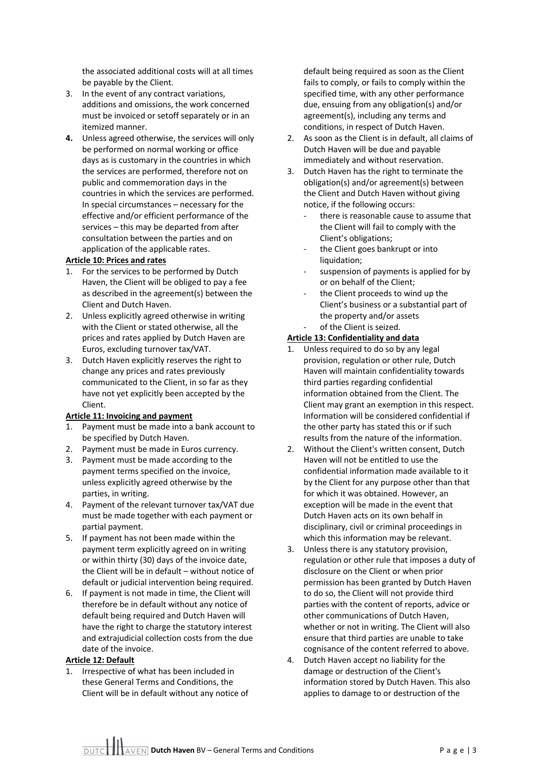the associated additional costs will at all times be payable by the Client.

- 3. In the event of any contract variations, additions and omissions, the work concerned must be invoiced or setoff separately or in an itemized manner.
- **4.** Unless agreed otherwise, the services will only be performed on normal working or office days as is customary in the countries in which the services are performed, therefore not on public and commemoration days in the countries in which the services are performed. In special circumstances – necessary for the effective and/or efficient performance of the services – this may be departed from after consultation between the parties and on application of the applicable rates.

#### **Article 10: Prices and rates**

- 1. For the services to be performed by Dutch Haven, the Client will be obliged to pay a fee as described in the agreement(s) between the Client and Dutch Haven.
- 2. Unless explicitly agreed otherwise in writing with the Client or stated otherwise, all the prices and rates applied by Dutch Haven are Euros, excluding turnover tax/VAT.
- 3. Dutch Haven explicitly reserves the right to change any prices and rates previously communicated to the Client, in so far as they have not yet explicitly been accepted by the Client.

# **Article 11: Invoicing and payment**

- 1. Payment must be made into a bank account to be specified by Dutch Haven.
- 2. Payment must be made in Euros currency.
- 3. Payment must be made according to the payment terms specified on the invoice, unless explicitly agreed otherwise by the parties, in writing.
- 4. Payment of the relevant turnover tax/VAT due must be made together with each payment or partial payment.
- 5. If payment has not been made within the payment term explicitly agreed on in writing or within thirty (30) days of the invoice date, the Client will be in default – without notice of default or judicial intervention being required.
- 6. If payment is not made in time, the Client will therefore be in default without any notice of default being required and Dutch Haven will have the right to charge the statutory interest and extrajudicial collection costs from the due date of the invoice.

#### **Article 12: Default**

1. Irrespective of what has been included in these General Terms and Conditions, the Client will be in default without any notice of default being required as soon as the Client fails to comply, or fails to comply within the specified time, with any other performance due, ensuing from any obligation(s) and/or agreement(s), including any terms and conditions, in respect of Dutch Haven.

- 2. As soon as the Client is in default, all claims of Dutch Haven will be due and payable immediately and without reservation.
- 3. Dutch Haven has the right to terminate the obligation(s) and/or agreement(s) between the Client and Dutch Haven without giving notice, if the following occurs:
	- there is reasonable cause to assume that the Client will fail to comply with the Client's obligations;
	- the Client goes bankrupt or into liquidation;
	- suspension of payments is applied for by or on behalf of the Client;
	- the Client proceeds to wind up the Client's business or a substantial part of the property and/or assets
	- of the Client is seized.

# **Article 13: Confidentiality and data**

- 1. Unless required to do so by any legal provision, regulation or other rule, Dutch Haven will maintain confidentiality towards third parties regarding confidential information obtained from the Client. The Client may grant an exemption in this respect. Information will be considered confidential if the other party has stated this or if such results from the nature of the information.
- 2. Without the Client's written consent, Dutch Haven will not be entitled to use the confidential information made available to it by the Client for any purpose other than that for which it was obtained. However, an exception will be made in the event that Dutch Haven acts on its own behalf in disciplinary, civil or criminal proceedings in which this information may be relevant.
- 3. Unless there is any statutory provision, regulation or other rule that imposes a duty of disclosure on the Client or when prior permission has been granted by Dutch Haven to do so, the Client will not provide third parties with the content of reports, advice or other communications of Dutch Haven, whether or not in writing. The Client will also ensure that third parties are unable to take cognisance of the content referred to above.
- 4. Dutch Haven accept no liability for the damage or destruction of the Client's information stored by Dutch Haven. This also applies to damage to or destruction of the

**DUTC II AVEN Dutch Haven** BV – General Terms and Conditions **Page | 3**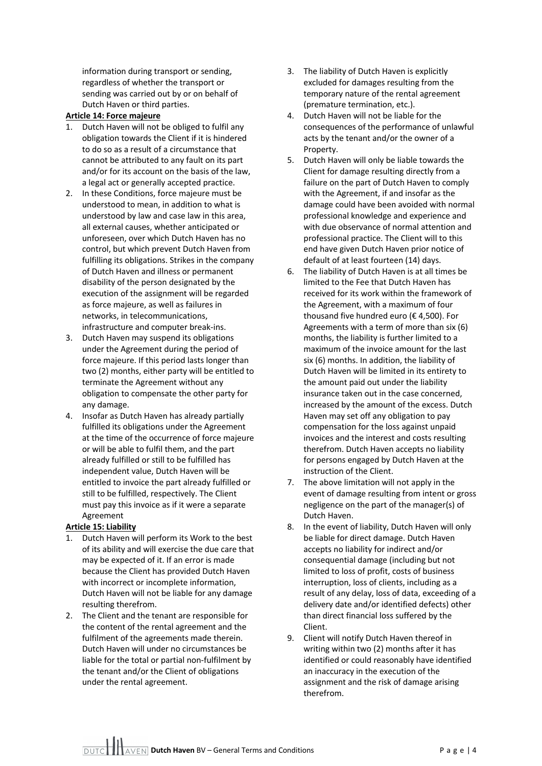information during transport or sending, regardless of whether the transport or sending was carried out by or on behalf of Dutch Haven or third parties.

# **Article 14: Force majeure**

- 1. Dutch Haven will not be obliged to fulfil any obligation towards the Client if it is hindered to do so as a result of a circumstance that cannot be attributed to any fault on its part and/or for its account on the basis of the law, a legal act or generally accepted practice.
- 2. In these Conditions, force majeure must be understood to mean, in addition to what is understood by law and case law in this area, all external causes, whether anticipated or unforeseen, over which Dutch Haven has no control, but which prevent Dutch Haven from fulfilling its obligations. Strikes in the company of Dutch Haven and illness or permanent disability of the person designated by the execution of the assignment will be regarded as force majeure, as well as failures in networks, in telecommunications, infrastructure and computer break-ins.
- 3. Dutch Haven may suspend its obligations under the Agreement during the period of force majeure. If this period lasts longer than two (2) months, either party will be entitled to terminate the Agreement without any obligation to compensate the other party for any damage.
- 4. Insofar as Dutch Haven has already partially fulfilled its obligations under the Agreement at the time of the occurrence of force majeure or will be able to fulfil them, and the part already fulfilled or still to be fulfilled has independent value, Dutch Haven will be entitled to invoice the part already fulfilled or still to be fulfilled, respectively. The Client must pay this invoice as if it were a separate Agreement

#### **Article 15: Liability**

- 1. Dutch Haven will perform its Work to the best of its ability and will exercise the due care that may be expected of it. If an error is made because the Client has provided Dutch Haven with incorrect or incomplete information, Dutch Haven will not be liable for any damage resulting therefrom.
- 2. The Client and the tenant are responsible for the content of the rental agreement and the fulfilment of the agreements made therein. Dutch Haven will under no circumstances be liable for the total or partial non-fulfilment by the tenant and/or the Client of obligations under the rental agreement.
- 3. The liability of Dutch Haven is explicitly excluded for damages resulting from the temporary nature of the rental agreement (premature termination, etc.).
- 4. Dutch Haven will not be liable for the consequences of the performance of unlawful acts by the tenant and/or the owner of a Property.
- 5. Dutch Haven will only be liable towards the Client for damage resulting directly from a failure on the part of Dutch Haven to comply with the Agreement, if and insofar as the damage could have been avoided with normal professional knowledge and experience and with due observance of normal attention and professional practice. The Client will to this end have given Dutch Haven prior notice of default of at least fourteen (14) days.
- 6. The liability of Dutch Haven is at all times be limited to the Fee that Dutch Haven has received for its work within the framework of the Agreement, with a maximum of four thousand five hundred euro (€ 4,500). For Agreements with a term of more than six (6) months, the liability is further limited to a maximum of the invoice amount for the last six (6) months. In addition, the liability of Dutch Haven will be limited in its entirety to the amount paid out under the liability insurance taken out in the case concerned, increased by the amount of the excess. Dutch Haven may set off any obligation to pay compensation for the loss against unpaid invoices and the interest and costs resulting therefrom. Dutch Haven accepts no liability for persons engaged by Dutch Haven at the instruction of the Client.
- 7. The above limitation will not apply in the event of damage resulting from intent or gross negligence on the part of the manager(s) of Dutch Haven.
- 8. In the event of liability, Dutch Haven will only be liable for direct damage. Dutch Haven accepts no liability for indirect and/or consequential damage (including but not limited to loss of profit, costs of business interruption, loss of clients, including as a result of any delay, loss of data, exceeding of a delivery date and/or identified defects) other than direct financial loss suffered by the Client.
- 9. Client will notify Dutch Haven thereof in writing within two (2) months after it has identified or could reasonably have identified an inaccuracy in the execution of the assignment and the risk of damage arising therefrom.